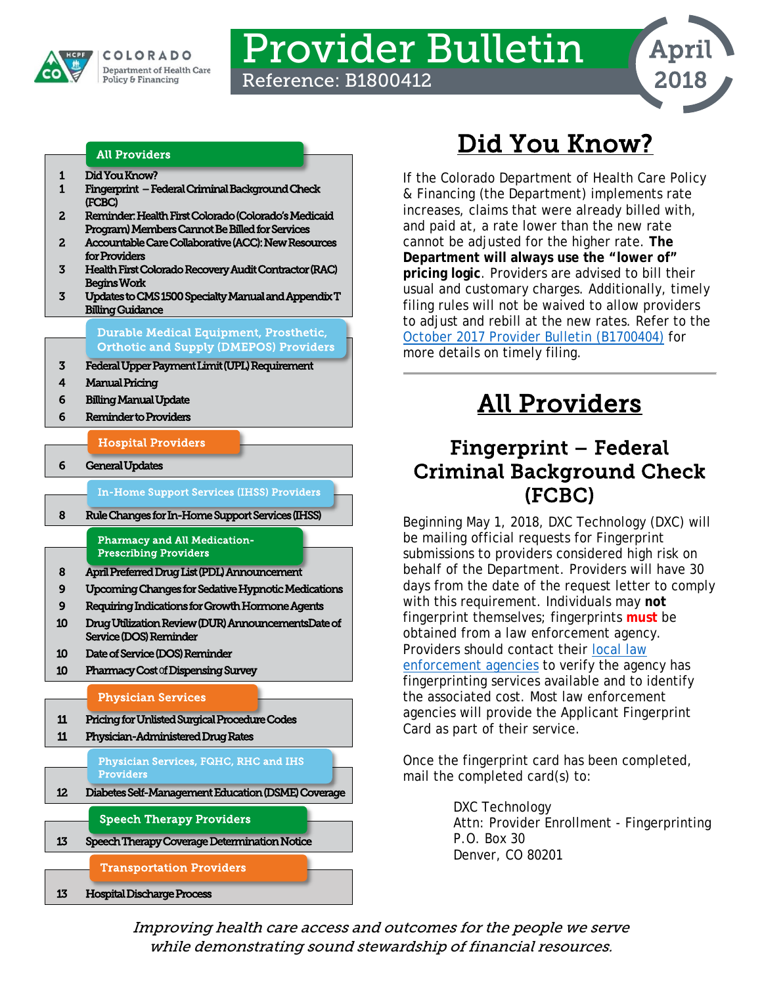

COLORADO **Department of Health Care** Policy & Financing

# Provider Bulletin Reference: B1800412



#### All Providers

- [1 Did You Know?](#page-0-0)
- [1 Fingerprint Federal Criminal Background Check](#page-0-1)  [\(FCBC\)](#page-0-1)
- [2 Reminder: Health First Colorado \(Colorado's Medicaid](#page-1-0)  [Program\) Members Cannot Be Billed for Services](#page-1-0)
- [2 Accountable Care Collaborative \(ACC\): New Resources](#page-1-1)  [for Providers](#page-1-1)
- [3 Health First Colorado Recovery Audit Contractor \(RAC\)](#page-2-0)  [Begins Work](#page-2-0)
- [3 Updates to CMS 1500 Specialty Manual and Appendix T](#page-2-1)  [Billing Guidance](#page-2-1)

[Durable Medical Equipment, Prosthetic,](#page-2-3)  [Orthotic and Supply \(DMEPOS\) Providers](#page-2-3) 

- [3 Federal Upper Payment Limit \(UPL\) Requirement](#page-2-2)
- [4 Manual Pricing](#page-3-0)
- [6 Billing Manual Update](#page-5-0)
- [6 Reminder to Providers](#page-5-1)

[Hospital Providers](#page-5-3) 

[6 General Updates](#page-5-2) 

[In-Home Support Services \(IHSS\) Providers](#page-7-2) 

[8 Rule Changes for In-Home Support Services \(IHSS\)](#page-7-0) 

[Pharmacy and All Medication-](#page-7-3)[Prescribing Providers](#page-7-3) 

- [8 April Preferred Drug List \(PDL\) Announcement](#page-7-1)
- [9 Upcoming Changes for Sedative Hypnotic Medications](#page-8-0)
- [9 Requiring Indications for Growth Hormone Agents](#page-8-1)
- [10 Drug Utilization Review \(DUR\) Announcements](#page-9-0)[Date of](#page-9-1)  [Service \(DOS\) Reminder](#page-9-1)
- [10 Date of Service \(DOS\) Reminder](#page-9-1)
- [10](#page-9-2) Pharmacy Cost o[f Dispensing Survey](#page-9-2)

#### [Physician Services](#page-10-2)

[11 Pricing for Unlisted Surgical Procedure Codes](#page-10-0)  [11 Physician-Administered Drug Rates](#page-10-1) 

> [Physician Services, FQHC, RHC and IHS](#page-11-1)  Providers

[12 Diabetes Self-Management Education \(DSME\) Coverage](#page-11-0) 

[Speech Therapy Providers](#page-12-2) 

[13 Speech Therapy Coverage Determination Notice](#page-12-0) 

[Transportation Providers](#page-12-3) 

[13 Hospital Discharge Process](#page-12-1)

# Did You Know?

<span id="page-0-0"></span>If the Colorado Department of Health Care Policy & Financing (the Department) implements rate increases, claims that were already billed with, and paid at, a rate lower than the new rate cannot be adjusted for the higher rate. **The Department will always use the "lower of" pricing logic**. Providers are advised to bill their usual and customary charges. Additionally, timely filing rules will not be waived to allow providers to adjust and rebill at the new rates. Refer to the [October 2017 Provider Bulletin \(B1700404\)](https://www.colorado.gov/pacific/sites/default/files/Bulletin_1017_B1700404.pdf) for more details on timely filing.

# All Providers

### <span id="page-0-1"></span>Fingerprint – Federal Criminal Background Check (FCBC)

Beginning May 1, 2018, DXC Technology (DXC) will be mailing official requests for Fingerprint submissions to providers considered high risk on behalf of the Department. Providers will have 30 days from the date of the request letter to comply with this requirement. Individuals may **not** fingerprint themselves; fingerprints **must** be obtained from a law enforcement agency. Providers should contact their [local law](http://www.usacops.com/co/)  [enforcement agencies](http://www.usacops.com/co/) to verify the agency has fingerprinting services available and to identify the associated cost. Most law enforcement agencies will provide the Applicant Fingerprint Card as part of their service.

Once the fingerprint card has been completed, mail the completed card(s) to:

> DXC Technology Attn: Provider Enrollment - Fingerprinting P.O. Box 30 Denver, CO 80201

Improving health care access and outcomes for the people we serve while demonstrating sound stewardship of financial resources.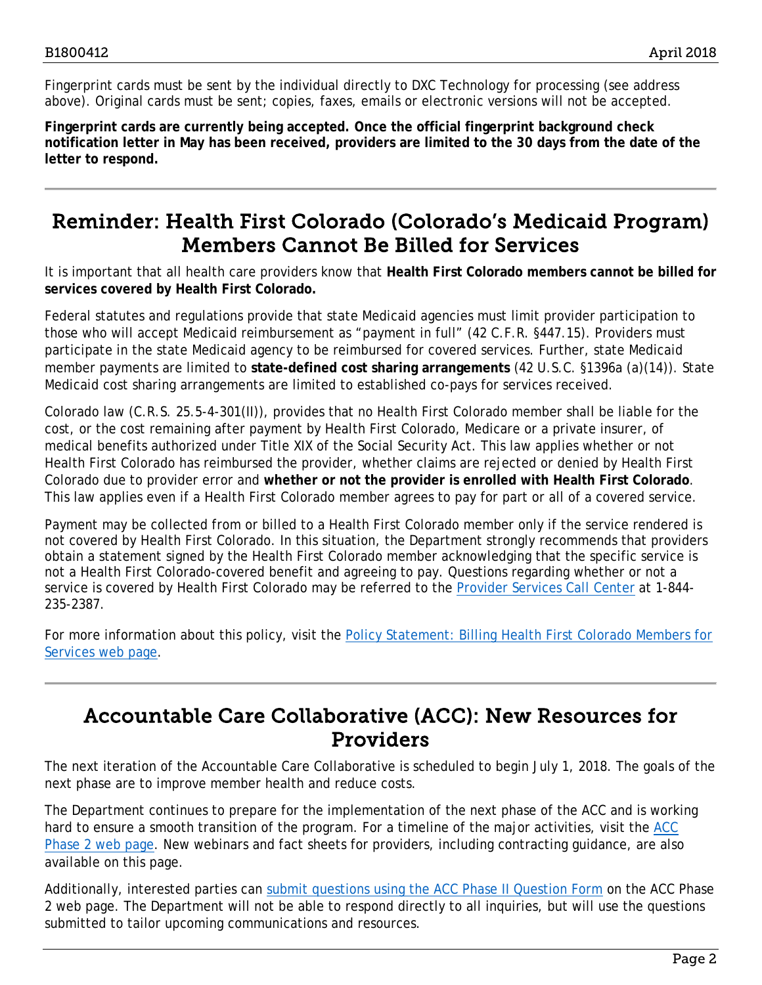Fingerprint cards must be sent by the individual directly to DXC Technology for processing (see address above). Original cards must be sent; copies, faxes, emails or electronic versions will not be accepted.

**Fingerprint cards are currently being accepted. Once the official fingerprint background check notification letter in May has been received, providers are limited to the 30 days from the date of the letter to respond.** 

### <span id="page-1-0"></span>Reminder: Health First Colorado (Colorado's Medicaid Program) Members Cannot Be Billed for Services

It is important that all health care providers know that **Health First Colorado members cannot be billed for services covered by Health First Colorado.**

Federal statutes and regulations provide that state Medicaid agencies must limit provider participation to those who will accept Medicaid reimbursement as "payment in full" (42 C.F.R. §447.15). Providers must participate in the state Medicaid agency to be reimbursed for covered services. Further, state Medicaid member payments are limited to **state-defined cost sharing arrangements** (42 U.S.C. §1396a (a)(14)). State Medicaid cost sharing arrangements are limited to established co-pays for services received.

Colorado law (C.R.S. 25.5-4-301(II)), provides that no Health First Colorado member shall be liable for the cost, or the cost remaining after payment by Health First Colorado, Medicare or a private insurer, of medical benefits authorized under Title XIX of the Social Security Act. This law applies whether or not Health First Colorado has reimbursed the provider, whether claims are rejected or denied by Health First Colorado due to provider error and **whether or not the provider is enrolled with Health First Colorado**. This law applies even if a Health First Colorado member agrees to pay for part or all of a covered service.

Payment may be collected from or billed to a Health First Colorado member only if the service rendered is not covered by Health First Colorado. In this situation, the Department strongly recommends that providers obtain a statement signed by the Health First Colorado member acknowledging that the specific service is not a Health First Colorado-covered benefit and agreeing to pay. Questions regarding whether or not a service is covered by Health First Colorado may be referred to the [Provider Services Call Center](https://www.colorado.gov/pacific/sites/default/files/Provider%20Call%20Center%20Cheat%20Sheet.pdf) at 1-844-235-2387.

For more information about this policy, visit the Policy Statement: Billing Health First Colorado Members for [Services web page.](https://www.colorado.gov/pacific/hcpf/policy-statement-billing-medicaid-members-services)

### <span id="page-1-1"></span>Accountable Care Collaborative (ACC): New Resources for Providers

The next iteration of the Accountable Care Collaborative is scheduled to begin July 1, 2018. The goals of the next phase are to improve member health and reduce costs.

The Department continues to prepare for the implementation of the next phase of the ACC and is working hard to ensure a smooth transition of the program. For a timeline of the major activities, visit the ACC [Phase 2 web page.](http://www.colorado.gov/hcpf/accphase2) New webinars and fact sheets for providers, including contracting guidance, are also available on this page.

Additionally, interested parties can [submit questions using the ACC Phase II Question Form](https://www.colorado.gov/hcpf/acc-phase-ii-question-form) on the ACC Phase 2 web page. The Department will not be able to respond directly to all inquiries, but will use the questions submitted to tailor upcoming communications and resources.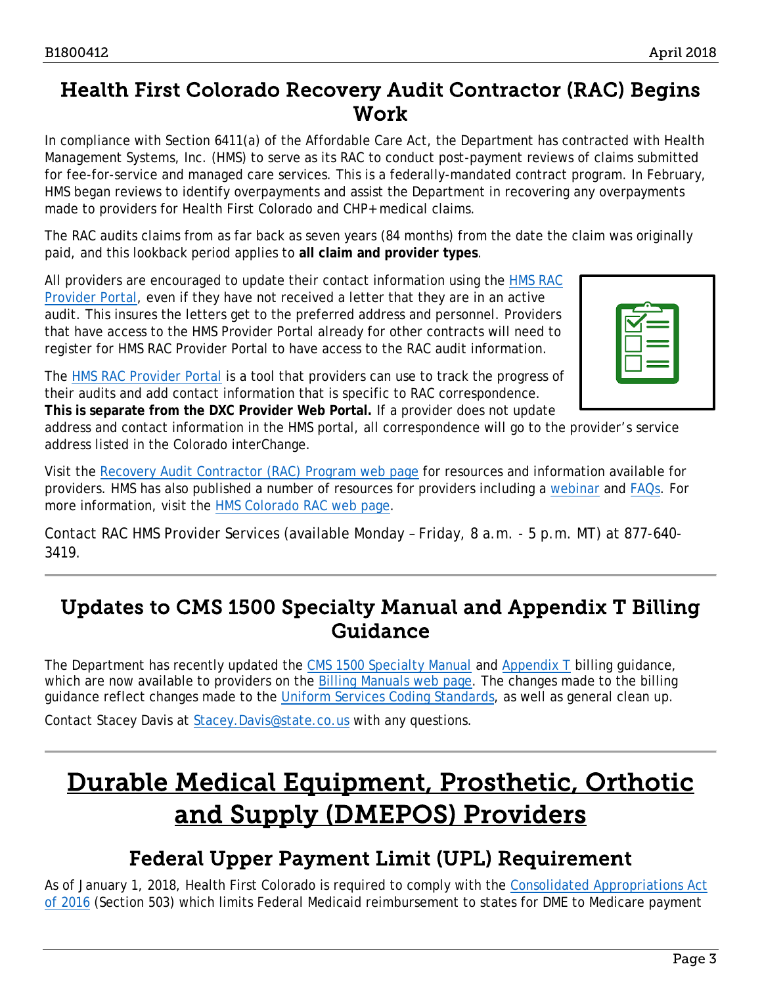### <span id="page-2-0"></span>Health First Colorado Recovery Audit Contractor (RAC) Begins Work

In compliance with Section 6411(a) of the Affordable Care Act, the Department has contracted with Health Management Systems, Inc. (HMS) to serve as its RAC to conduct post-payment reviews of claims submitted for fee-for-service and managed care services. This is a federally-mandated contract program. In February, HMS began reviews to identify overpayments and assist the Department in recovering any overpayments made to providers for Health First Colorado and CHP+ medical claims.

The RAC audits claims from as far back as seven years (84 months) from the date the claim was originally paid, and this lookback period applies to **all claim and provider types**.

All providers are encouraged to update their contact information using the **HMS RAC** [Provider Portal,](https://ecenter.hmsy.com/) even if they have not received a letter that they are in an active audit. This insures the letters get to the preferred address and personnel. Providers that have access to the HMS Provider Portal already for other contracts will need to register for HMS RAC Provider Portal to have access to the RAC audit information.



The [HMS RAC Provider Portal](https://ecenter.hmsy.com/) is a tool that providers can use to track the progress of their audits and add contact information that is specific to RAC correspondence. **This is separate from the DXC Provider Web Portal.** If a provider does not update

address and contact information in the HMS portal, all correspondence will go to the provider's service address listed in the Colorado interChange.

Visit the [Recovery Audit Contractor \(RAC\) Program web page](https://www.colorado.gov/pacific/hcpf/recovery-audit-contractor-rac-program) for resources and information available for providers. HMS has also published a number of resources for providers including a [webinar](https://hmsonline.webex.com/hmsonline/ldr.php?RCID=1a9900e90c3e4cece3f0d47cd4034012) and [FAQs.](http://hms.com/wp-content/uploads/2017/07/CO-RAC-FAQs.pdf) For more information, visit the [HMS Colorado RAC web page.](http://hms.com/us/co-providers/home/)

Contact RAC HMS Provider Services (available Monday – Friday, 8 a.m. - 5 p.m. MT) at 877-640- 3419.

### <span id="page-2-1"></span>Updates to CMS 1500 Specialty Manual and Appendix T Billing Guidance

The Department has recently updated the [CMS 1500 Specialty Manual](https://www.colorado.gov/pacific/sites/default/files/CMS1500_Specialty_Manuals%20v1_3_1.pdf) and [Appendix T](https://www.colorado.gov/pacific/sites/default/files/Appendix%20T-CMH%20Serv%20Prog%20v1_4.pdf) billing guidance, which are now available to providers on the [Billing Manuals web page.](https://www.colorado.gov/hcpf/billing-manuals) The changes made to the billing guidance reflect changes made to the [Uniform Services Coding Standards,](https://www.colorado.gov/pacific/hcpf/mental-health-rate-reform-0) as well as general clean up.

Contact Stacey Davis at [Stacey.Davis@state.co.us](mailto:Stacey.Davis@state.co.us) with any questions.

# <span id="page-2-3"></span>Durable Medical Equipment, Prosthetic, Orthotic and Supply (DMEPOS) Providers

### Federal Upper Payment Limit (UPL) Requirement

<span id="page-2-2"></span>As of January 1, 2018, Health First Colorado is required to comply with the Consolidated Appropriations Act [of 2016](https://www.congress.gov/bill/114th-congress/house-bill/2029/text?q=%7B%22search%22%3A%5B%22public+law+114-113%22%5D%7D&r=1) (Section 503) which limits Federal Medicaid reimbursement to states for DME to Medicare payment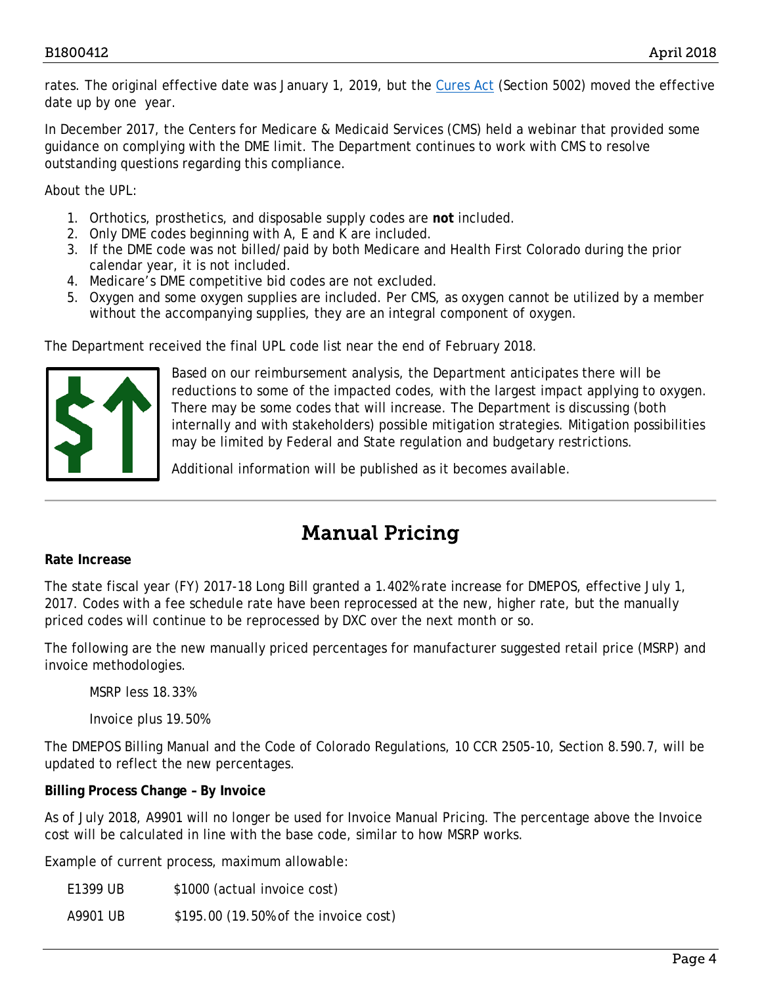rates. The original effective date was January 1, 2019, but the [Cures Act](https://www.congress.gov/bill/114th-congress/house-bill/34/text?q=%7B%22search%22%3A%5B%22public+law+no%3A+114-255.%22%5D%7D&r=1) (Section 5002) moved the effective date up by one year.

In December 2017, the Centers for Medicare & Medicaid Services (CMS) held a webinar that provided some guidance on complying with the DME limit. The Department continues to work with CMS to resolve outstanding questions regarding this compliance.

About the UPL:

- 1. Orthotics, prosthetics, and disposable supply codes are **not** included.
- 2. Only DME codes beginning with A, E and K are included.
- 3. If the DME code was not billed/paid by both Medicare and Health First Colorado during the prior calendar year, it is not included.
- 4. Medicare's DME competitive bid codes are not excluded.
- 5. Oxygen and some oxygen supplies are included. Per CMS, as oxygen cannot be utilized by a member without the accompanying supplies, they are an integral component of oxygen.

The Department received the final UPL code list near the end of February 2018.



Based on our reimbursement analysis, the Department anticipates there will be reductions to some of the impacted codes, with the largest impact applying to oxygen. There may be some codes that will increase. The Department is discussing (both internally and with stakeholders) possible mitigation strategies. Mitigation possibilities may be limited by Federal and State regulation and budgetary restrictions.

Additional information will be published as it becomes available.

## Manual Pricing

#### <span id="page-3-0"></span>**Rate Increase**

The state fiscal year (FY) 2017-18 Long Bill granted a 1.402% rate increase for DMEPOS, effective July 1, 2017. Codes with a fee schedule rate have been reprocessed at the new, higher rate, but the manually priced codes will continue to be reprocessed by DXC over the next month or so.

The following are the new manually priced percentages for manufacturer suggested retail price (MSRP) and invoice methodologies.

MSRP less 18.33%

Invoice plus 19.50%

The DMEPOS Billing Manual and the Code of Colorado Regulations, 10 CCR 2505-10, Section 8.590.7, will be updated to reflect the new percentages.

#### **Billing Process Change – By Invoice**

As of July 2018, A9901 will no longer be used for Invoice Manual Pricing. The percentage above the Invoice cost will be calculated in line with the base code, similar to how MSRP works.

Example of current process, maximum allowable:

E1399 UB \$1000 (actual invoice cost)

A9901 UB \$195.00 (19.50% of the invoice cost)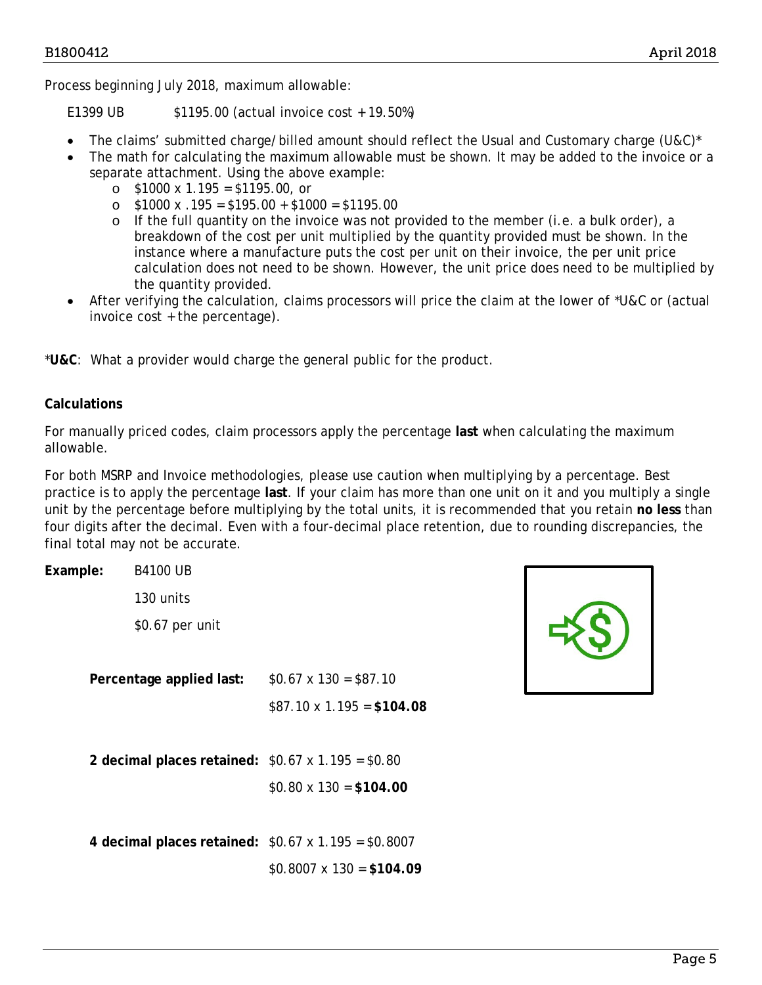Process beginning July 2018, maximum allowable:

E1399 UB \$1195.00 (actual invoice cost + 19.50%)

- The claims' submitted charge/billed amount should reflect the Usual and Customary charge (U&C)\*
- The math for calculating the maximum allowable must be shown. It may be added to the invoice or a separate attachment. Using the above example:
	- $\circ$  \$1000 x 1.195 = \$1195.00, or
	- o \$1000 x .195 = \$195.00 + \$1000 = \$1195.00
	- $\circ$  If the full quantity on the invoice was not provided to the member (i.e. a bulk order), a breakdown of the cost per unit multiplied by the quantity provided must be shown. In the instance where a manufacture puts the cost per unit on their invoice, the per unit price calculation does not need to be shown. However, the unit price does need to be multiplied by the quantity provided.
- After verifying the calculation, claims processors will price the claim at the lower of \*U&C or (actual invoice cost + the percentage).

\***U&C**: What a provider would charge the general public for the product.

### **Calculations**

For manually priced codes, claim processors apply the percentage **last** when calculating the maximum allowable.

For both MSRP and Invoice methodologies, please use caution when multiplying by a percentage. Best practice is to apply the percentage **last**. If your claim has more than one unit on it and you multiply a single unit by the percentage before multiplying by the total units, it is recommended that you retain **no less** than four digits after the decimal. Even with a four-decimal place retention, due to rounding discrepancies, the final total may not be accurate.

| Example:                                                | <b>B4100 UB</b> |                                                           |
|---------------------------------------------------------|-----------------|-----------------------------------------------------------|
|                                                         | 130 units       |                                                           |
|                                                         | \$0.67 per unit |                                                           |
|                                                         |                 |                                                           |
| Percentage applied last:                                |                 | $$0.67 \times 130 = $87.10$                               |
|                                                         |                 | $$87.10 \times 1.195 = $104.08$                           |
|                                                         |                 |                                                           |
| 2 decimal places retained: $$0.67 \times 1.195 = $0.80$ |                 |                                                           |
|                                                         |                 | $$0.80 \times 130 = $104.00$                              |
|                                                         |                 |                                                           |
|                                                         |                 | 4 decimal places retained: $$0.67 \times 1.195 = $0.8007$ |
|                                                         |                 | $$0.8007 \times 130 = $104.09$                            |

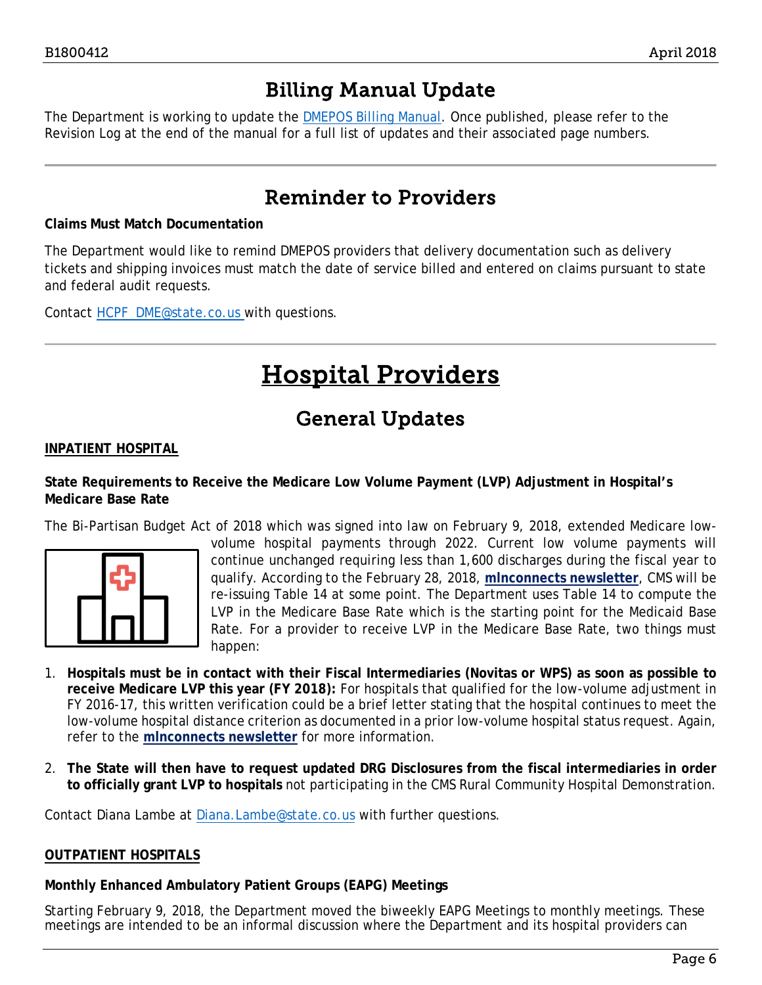### Billing Manual Update

<span id="page-5-0"></span>The Department is working to update the [DMEPOS Billing Manual.](https://www.colorado.gov/pacific/sites/default/files/DMEPOS%20Billing%20Manual%20v1_1.pdf) Once published, please refer to the Revision Log at the end of the manual for a full list of updates and their associated page numbers.

### Reminder to Providers

#### <span id="page-5-1"></span>**Claims Must Match Documentation**

The Department would like to remind DMEPOS providers that delivery documentation such as delivery tickets and shipping invoices must match the date of service billed and entered on claims pursuant to state and federal audit requests.

<span id="page-5-3"></span>Contact [HCPF\\_DME@state.co.us](mailto:HCPF_DME@state.co.us) with questions.

# Hospital Providers

### General Updates

#### <span id="page-5-2"></span>**INPATIENT HOSPITAL**

#### **State Requirements to Receive the Medicare Low Volume Payment (LVP) Adjustment in Hospital's Medicare Base Rate**

The Bi-Partisan Budget Act of 2018 which was signed into law on February 9, 2018, extended Medicare low-



volume hospital payments through 2022. Current low volume payments will continue unchanged requiring less than 1,600 discharges during the fiscal year to qualify. According to the February 28, 2018, **[mlnconnects newsletter](https://www.cms.gov/Center/Provider-Type/All-Fee-For-Service-Providers/Downloads/Medicare-Expired-Legislative-Provisions-Extended.pdf)**, CMS will be re-issuing Table 14 at some point. The Department uses Table 14 to compute the LVP in the Medicare Base Rate which is the starting point for the Medicaid Base Rate. For a provider to receive LVP in the Medicare Base Rate, two things must happen:

- 1. **Hospitals must be in contact with their Fiscal Intermediaries (Novitas or WPS) as soon as possible to receive Medicare LVP this year (FY 2018):** For hospitals that qualified for the low-volume adjustment in FY 2016-17, this written verification could be a brief letter stating that the hospital continues to meet the low-volume hospital distance criterion as documented in a prior low-volume hospital status request. Again, refer to the **[mlnconnects newsletter](https://www.cms.gov/Center/Provider-Type/All-Fee-For-Service-Providers/Downloads/Medicare-Expired-Legislative-Provisions-Extended.pdf)** for more information.
- 2. **The State will then have to request updated DRG Disclosures from the fiscal intermediaries in order to officially grant LVP to hospitals** not participating in the CMS Rural Community Hospital Demonstration.

Contact Diana Lambe at [Diana.Lambe@state.co.us](mailto:Diana.Lambe@state.co.us) with further questions.

#### **OUTPATIENT HOSPITALS**

**Monthly Enhanced Ambulatory Patient Groups (EAPG) Meetings**

Starting February 9, 2018, the Department moved the biweekly EAPG Meetings to monthly meetings. These meetings are intended to be an informal discussion where the Department and its hospital providers can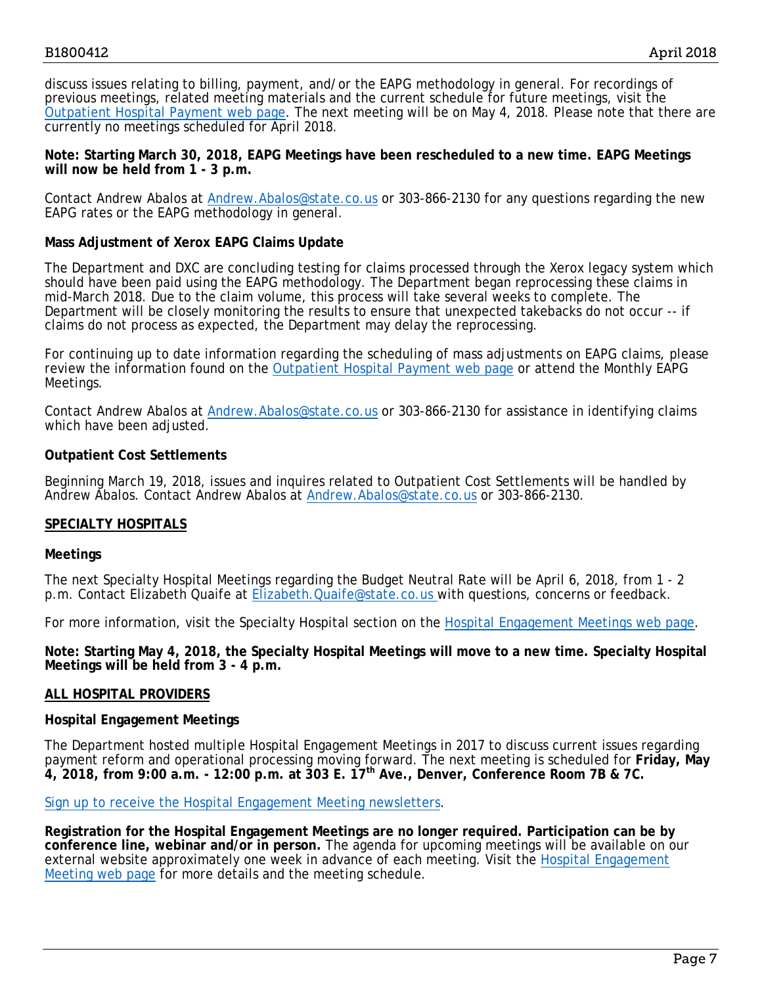discuss issues relating to billing, payment, and/or the EAPG methodology in general. For recordings of previous meetings, related meeting materials and the current schedule for future meetings, visit the [Outpatient Hospital Payment web page.](https://www.colorado.gov/pacific/hcpf/outpatient-hospital-payment) The next meeting will be on May 4, 2018. Please note that there are currently no meetings scheduled for April 2018.

**Note: Starting March 30, 2018, EAPG Meetings have been rescheduled to a new time. EAPG Meetings will now be held from 1 - 3 p.m.** 

Contact Andrew Abalos at [Andrew.Abalos@state.co.us](mailto:Andrew.Abalos@state.co.us) or 303-866-2130 for any questions regarding the new EAPG rates or the EAPG methodology in general.

#### **Mass Adjustment of Xerox EAPG Claims Update**

The Department and DXC are concluding testing for claims processed through the Xerox legacy system which should have been paid using the EAPG methodology. The Department began reprocessing these claims in mid-March 2018. Due to the claim volume, this process will take several weeks to complete. The Department will be closely monitoring the results to ensure that unexpected takebacks do not occur -- if claims do not process as expected, the Department may delay the reprocessing.

For continuing up to date information regarding the scheduling of mass adjustments on EAPG claims, please review the information found on the [Outpatient Hospital Payment web page](https://www.colorado.gov/pacific/hcpf/outpatient-hospital-payment) or attend the Monthly EAPG Meetings.

Contact Andrew Abalos at [Andrew.Abalos@state.co.us](mailto:Andrew.Abalos@state.co.us) or 303-866-2130 for assistance in identifying claims which have been adjusted.

#### **Outpatient Cost Settlements**

Beginning March 19, 2018, issues and inquires related to Outpatient Cost Settlements will be handled by Andrew Abalos. Contact Andrew Abalos at [Andrew.Abalos@state.co.us](mailto:Andrew.Abalos@state.co.us) or 303-866-2130.

#### **SPECIALTY HOSPITALS**

#### **Meetings**

The next Specialty Hospital Meetings regarding the Budget Neutral Rate will be April 6, 2018, from 1 - 2 p.m. Contact Elizabeth Quaife at [Elizabeth.Quaife@state.co.us](mailto:Elizabeth.Quaife@state.co.us) with questions, concerns or feedback.

For more information, visit the Specialty Hospital section on the [Hospital Engagement Meetings web page.](https://www.colorado.gov/pacific/hcpf/hospital-engagement-meetings)

**Note: Starting May 4, 2018, the Specialty Hospital Meetings will move to a new time. Specialty Hospital Meetings will be held from 3 - 4 p.m.** 

#### **ALL HOSPITAL PROVIDERS**

#### **Hospital Engagement Meetings**

The Department hosted multiple Hospital Engagement Meetings in 2017 to discuss current issues regarding payment reform and operational processing moving forward. The next meeting is scheduled for **Friday, May 4, 2018, from 9:00 a.m. - 12:00 p.m. at 303 E. 17th Ave., Denver, Conference Room 7B & 7C.**

[Sign up to receive the Hospital Engagement Meeting newsletters.](https://visitor.r20.constantcontact.com/manage/optin?v=001HfxrbpGNWZ0lZnPp6t3PG2s9XPNl8ZvgFdjsKvSnhIy8z9JmHyp6DeoLJ3saT6x0SeqRR1ub149uoXxe1ok4jTzfMSQ0BN7S5vcLiRO7gdY%3D)

**Registration for the Hospital Engagement Meetings are no longer required. Participation can be by conference line, webinar and/or in person.** The agenda for upcoming meetings will be available on our external website approximately one week in advance of each meeting. Visit the [Hospital Engagement](https://www.colorado.gov/pacific/hcpf/hospital-engagement-meetings)  [Meeting web page](https://www.colorado.gov/pacific/hcpf/hospital-engagement-meetings) for more details and the meeting schedule.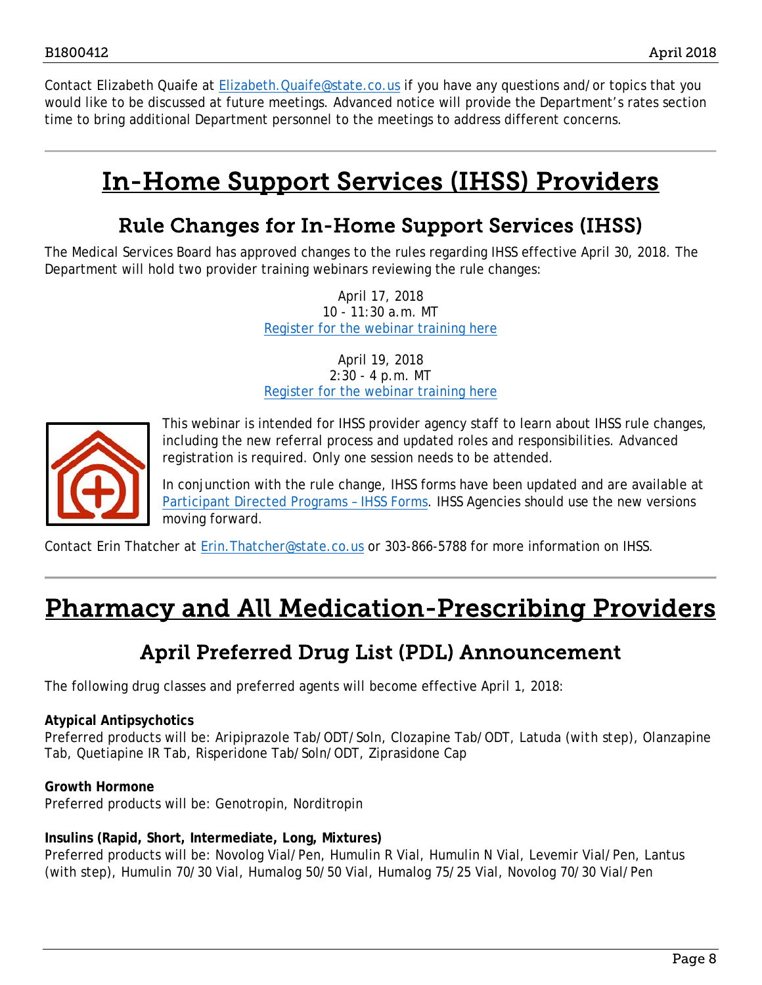Contact Elizabeth Quaife at Elizabeth. Quaife@state.co.us if you have any questions and/or topics that you would like to be discussed at future meetings. Advanced notice will provide the Department's rates section time to bring additional Department personnel to the meetings to address different concerns.

# <span id="page-7-2"></span>In-Home Support Services (IHSS) Providers

### Rule Changes for In-Home Support Services (IHSS)

<span id="page-7-0"></span>The Medical Services Board has approved changes to the rules regarding IHSS effective April 30, 2018. The Department will hold two provider training webinars reviewing the rule changes:

> April 17, 2018 10 - 11:30 a.m. MT [Register for the webinar training here](https://cohcpf.adobeconnect.com/ec7qoda954dv/event/event_info.html)

> April 19, 2018 2:30 - 4 p.m. MT [Register for the webinar training here](https://cohcpf.adobeconnect.com/ec5e90on1po4/event/event_info.html)



This webinar is intended for IHSS provider agency staff to learn about IHSS rule changes, including the new referral process and updated roles and responsibilities. Advanced registration is required. Only one session needs to be attended.

In conjunction with the rule change, IHSS forms have been updated and are available at [Participant Directed Programs –](https://www.colorado.gov/hcpf/participant-directed-programs#IHSS) IHSS Forms. IHSS Agencies should use the new versions moving forward.

Contact Erin Thatcher at [Erin.Thatcher@state.co.us](mailto:Erin.Thatcher@state.co.us) or 303-866-5788 for more information on IHSS.

# <span id="page-7-3"></span><span id="page-7-1"></span>Pharmacy and All Medication-Prescribing Providers

### April Preferred Drug List (PDL) Announcement

The following drug classes and preferred agents will become effective April 1, 2018:

#### **Atypical Antipsychotics**

Preferred products will be: Aripiprazole Tab/ODT/Soln, Clozapine Tab/ODT, Latuda (*with step*), Olanzapine Tab, Quetiapine IR Tab, Risperidone Tab/Soln/ODT, Ziprasidone Cap

#### **Growth Hormone**

Preferred products will be: Genotropin, Norditropin

#### **Insulins (Rapid, Short, Intermediate, Long, Mixtures)**

Preferred products will be: Novolog Vial/Pen, Humulin R Vial, Humulin N Vial, Levemir Vial/Pen, Lantus (with step), Humulin 70/30 Vial, Humalog 50/50 Vial, Humalog 75/25 Vial, Novolog 70/30 Vial/Pen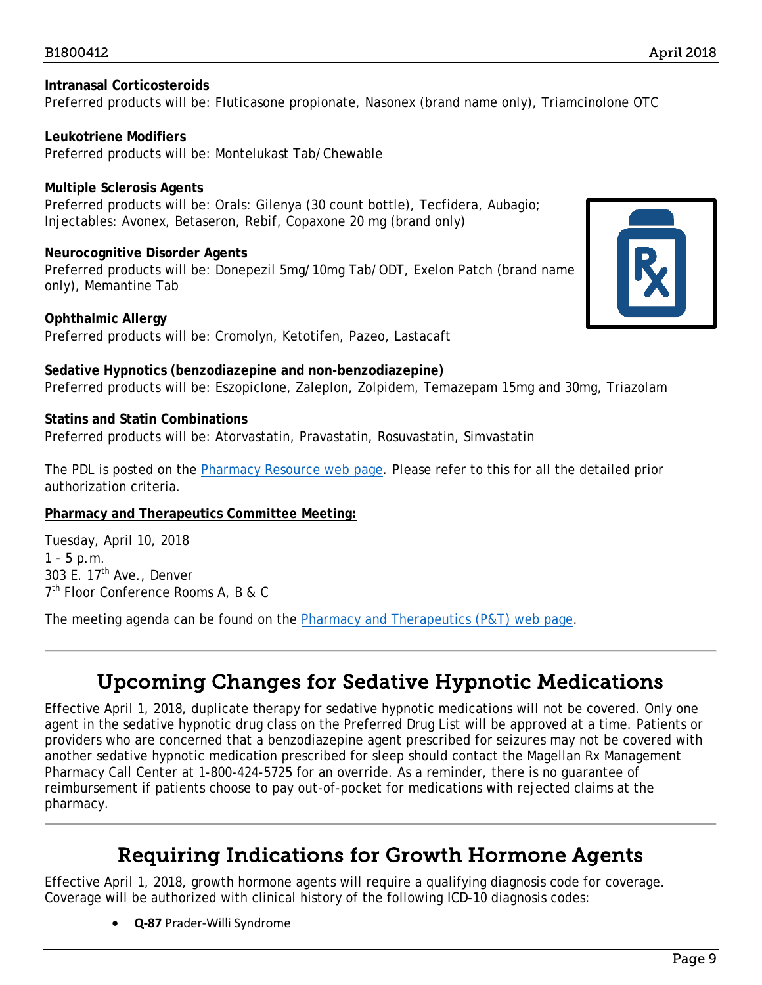#### **Intranasal Corticosteroids** Preferred products will be: Fluticasone propionate, Nasonex (brand name only), Triamcinolone OTC

**Leukotriene Modifiers** Preferred products will be: Montelukast Tab/Chewable

**Multiple Sclerosis Agents** Preferred products will be: Orals: Gilenya (30 count bottle), Tecfidera, Aubagio; Injectables: Avonex, Betaseron, Rebif, Copaxone 20 mg (brand only)

**Neurocognitive Disorder Agents**

Preferred products will be: Donepezil 5mg/10mg Tab/ODT, Exelon Patch (brand name only), Memantine Tab

**Ophthalmic Allergy** Preferred products will be: Cromolyn, Ketotifen, Pazeo, Lastacaft

**Sedative Hypnotics (benzodiazepine and non-benzodiazepine)** Preferred products will be: Eszopiclone, Zaleplon, Zolpidem, Temazepam 15mg and 30mg, Triazolam

#### **Statins and Statin Combinations**

Preferred products will be: Atorvastatin, Pravastatin, Rosuvastatin, Simvastatin

The PDL is posted on the [Pharmacy Resource web page.](https://www.colorado.gov/hcpf/pharmacy-resources) Please refer to this for all the detailed prior authorization criteria.

#### **Pharmacy and Therapeutics Committee Meeting:**

Tuesday, April 10, 2018  $1 - 5$  p.m. 303 E.  $17<sup>th</sup>$  Ave., Denver 7<sup>th</sup> Floor Conference Rooms A, B & C

<span id="page-8-0"></span>The meeting agenda can be found on the [Pharmacy and Therapeutics \(P&T\) web page.](https://www.colorado.gov/hcpf/pharmacy-and-therapeutics-committee)

## Upcoming Changes for Sedative Hypnotic Medications

Effective April 1, 2018, duplicate therapy for sedative hypnotic medications will not be covered. Only one agent in the sedative hypnotic drug class on the Preferred Drug List will be approved at a time. Patients or providers who are concerned that a benzodiazepine agent prescribed for seizures may not be covered with another sedative hypnotic medication prescribed for sleep should contact the Magellan Rx Management Pharmacy Call Center at 1-800-424-5725 for an override. As a reminder, there is no guarantee of reimbursement if patients choose to pay out-of-pocket for medications with rejected claims at the pharmacy.

### Requiring Indications for Growth Hormone Agents

<span id="page-8-1"></span>Effective April 1, 2018, growth hormone agents will require a qualifying diagnosis code for coverage. Coverage will be authorized with clinical history of the following ICD-10 diagnosis codes:

• **Q-87** Prader-Willi Syndrome

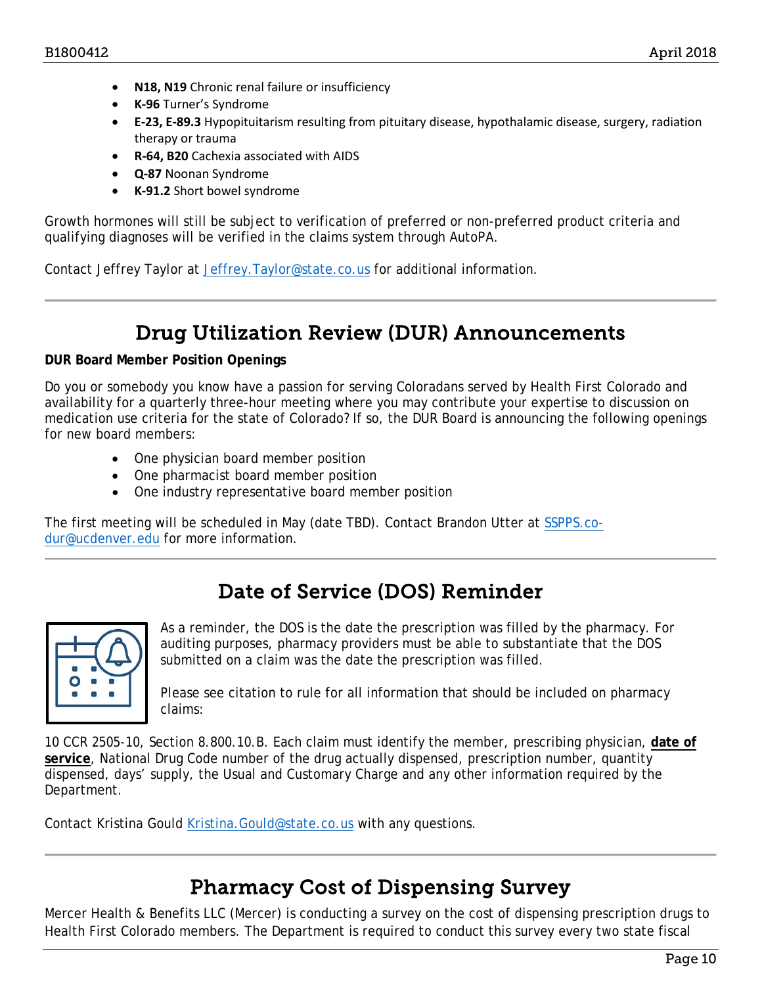- **N18, N19** Chronic renal failure or insufficiency
- **K-96** Turner's Syndrome
- **E-23, E-89.3** Hypopituitarism resulting from pituitary disease, hypothalamic disease, surgery, radiation therapy or trauma
- **R-64, B20** Cachexia associated with AIDS
- **Q-87** Noonan Syndrome
- **K-91.2** Short bowel syndrome

Growth hormones will still be subject to verification of preferred or non-preferred product criteria and qualifying diagnoses will be verified in the claims system through AutoPA.

Contact Jeffrey Taylor at [Jeffrey.Taylor@state.co.us](mailto:Jeffrey.Taylor@state.co.us) for additional information.

### Drug Utilization Review (DUR) Announcements

#### <span id="page-9-0"></span>**DUR Board Member Position Openings**

Do you or somebody you know have a passion for serving Coloradans served by Health First Colorado and availability for a quarterly three-hour meeting where you may contribute your expertise to discussion on medication use criteria for the state of Colorado? If so, the DUR Board is announcing the following openings for new board members:

- One physician board member position
- One pharmacist board member position
- One industry representative board member position

The first meeting will be scheduled in May (date TBD). Contact Brandon Utter at [SSPPS.co](mailto:SSPPS.co-dur@ucdenver.edu)[dur@ucdenver.edu](mailto:SSPPS.co-dur@ucdenver.edu) for more information.

### Date of Service (DOS) Reminder

<span id="page-9-1"></span>

As a reminder, the DOS is the date the prescription was filled by the pharmacy. For auditing purposes, pharmacy providers must be able to substantiate that the DOS submitted on a claim was the date the prescription was filled.

Please see citation to rule for all information that should be included on pharmacy claims:

10 CCR 2505-10, Section 8.800.10.B. Each claim must identify the member, prescribing physician, **date of service**, National Drug Code number of the drug actually dispensed, prescription number, quantity dispensed, days' supply, the Usual and Customary Charge and any other information required by the Department.

Contact Kristina Gould Kristina. Gould@state.co.us with any questions.

### Pharmacy Cost of Dispensing Survey

<span id="page-9-2"></span>Mercer Health & Benefits LLC (Mercer) is conducting a survey on the cost of dispensing prescription drugs to Health First Colorado members. The Department is required to conduct this survey every two state fiscal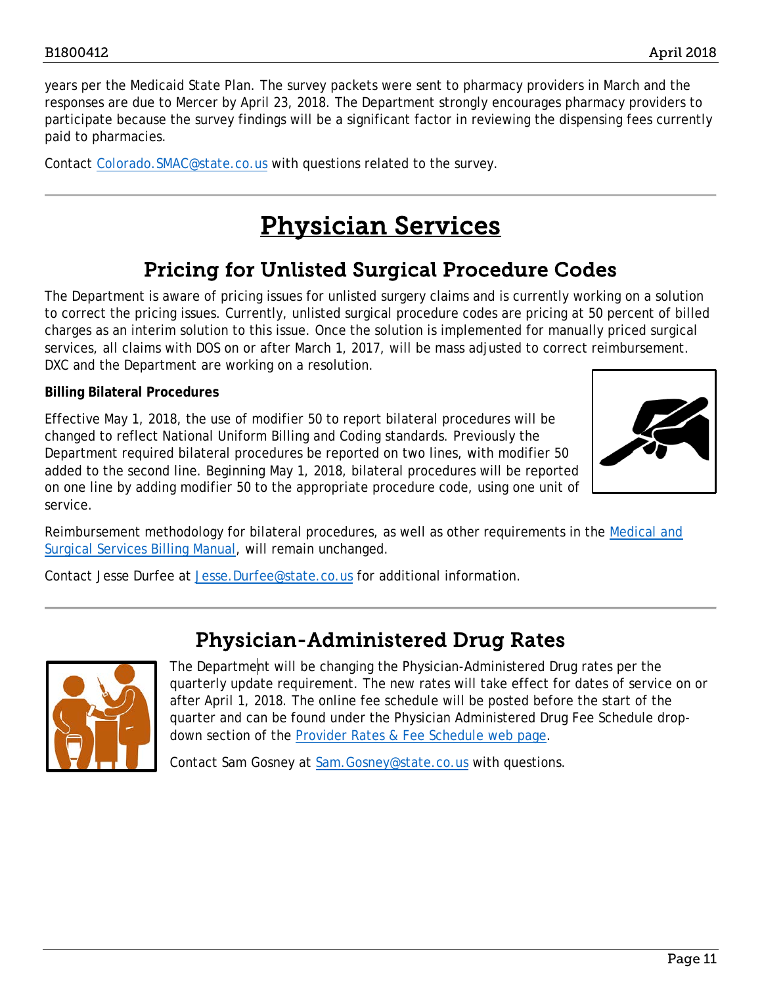years per the Medicaid State Plan. The survey packets were sent to pharmacy providers in March and the responses are due to Mercer by April 23, 2018. The Department strongly encourages pharmacy providers to participate because the survey findings will be a significant factor in reviewing the dispensing fees currently paid to pharmacies.

<span id="page-10-2"></span>Contact Colorado. SMAC@state.co.us with questions related to the survey.

# Physician Services

### Pricing for Unlisted Surgical Procedure Codes

<span id="page-10-0"></span>The Department is aware of pricing issues for unlisted surgery claims and is currently working on a solution to correct the pricing issues. Currently, unlisted surgical procedure codes are pricing at 50 percent of billed charges as an interim solution to this issue. Once the solution is implemented for manually priced surgical services, all claims with DOS on or after March 1, 2017, will be mass adjusted to correct reimbursement. DXC and the Department are working on a resolution.

#### **Billing Bilateral Procedures**

Effective May 1, 2018, the use of modifier 50 to report bilateral procedures will be changed to reflect National Uniform Billing and Coding standards. Previously the Department required bilateral procedures be reported on two lines, with modifier 50 added to the second line. Beginning May 1, 2018, bilateral procedures will be reported on one line by adding modifier 50 to the appropriate procedure code, using one unit of service.



Reimbursement methodology for bilateral procedures, as well as other requirements in the [Medical and](https://www.colorado.gov/pacific/sites/default/files/CMS1500_Medical_Surgical%20v1_3.pdf)  [Surgical Services Billing Manual,](https://www.colorado.gov/pacific/sites/default/files/CMS1500_Medical_Surgical%20v1_3.pdf) will remain unchanged.

Contact Jesse Durfee at [Jesse.Durfee@state.co.us](mailto:Jesse.Durfee@state.co.us) for additional information.

### Physician-Administered Drug Rates

<span id="page-10-1"></span>

The Department will be changing the Physician-Administered Drug rates per the quarterly update requirement. The new rates will take effect for dates of service on or after April 1, 2018. The online fee schedule will be posted before the start of the quarter and can be found under the Physician Administered Drug Fee Schedule dropdown section of the [Provider Rates & Fee Schedule web page.](https://www.colorado.gov/hcpf/provider-rates-fee-schedule)

Contact Sam Gosney at Sam. Gosney@state.co.us with questions.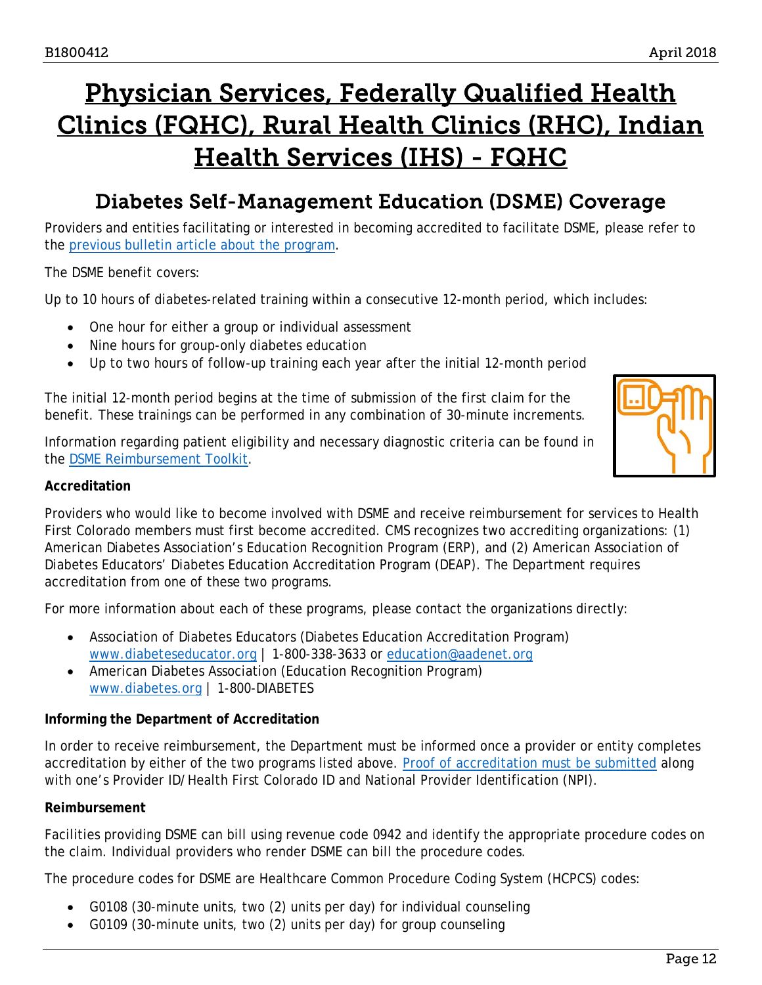# <span id="page-11-1"></span>Physician Services, Federally Qualified Health Clinics (FQHC), Rural Health Clinics (RHC), Indian Health Services (IHS) - FQHC

### Diabetes Self-Management Education (DSME) Coverage

<span id="page-11-0"></span>Providers and entities facilitating or interested in becoming accredited to facilitate DSME, please refer to the [previous bulletin article about the program.](https://www.colorado.gov/pacific/sites/default/files/Bulletin_0715_B1500368.pdf)

The DSME benefit covers:

Up to 10 hours of diabetes-related training within a consecutive 12-month period, which includes:

- One hour for either a group or individual assessment
- Nine hours for group-only diabetes education
- Up to two hours of follow-up training each year after the initial 12-month period

The initial 12-month period begins at the time of submission of the first claim for the benefit. These trainings can be performed in any combination of 30-minute increments.

Information regarding patient eligibility and necessary diagnostic criteria can be found in the [DSME Reimbursement Toolkit.](https://www.colorado.gov/pacific/sites/default/files/DC_CD_Diabetes-Medicaid-DSME-Reimbursement-Toolkit.pdf)



#### **Accreditation**

Providers who would like to become involved with DSME and receive reimbursement for services to Health First Colorado members must first become accredited. CMS recognizes two accrediting organizations: (1) American Diabetes Association's Education Recognition Program (ERP), and (2) American Association of Diabetes Educators' Diabetes Education Accreditation Program (DEAP). The Department requires accreditation from one of these two programs.

For more information about each of these programs, please contact the organizations directly:

- Association of Diabetes Educators (Diabetes Education Accreditation Program) [www.diabeteseducator.org](http://www.diabeteseducator.org/) | 1-800-338-3633 or [education@aadenet.org](mailto:education@aadenet.org)
- American Diabetes Association (Education Recognition Program) [www.diabetes.org](http://www.diabetes.org/) | 1-800-DIABETES

#### **Informing the Department of Accreditation**

In order to receive reimbursement, the Department must be informed once a provider or entity completes accreditation by either of the two programs listed above. [Proof of accreditation must be submitted](https://www.colorado.gov/pacific/hcpf/form/dsme-accreditation-registration) along with one's Provider ID/Health First Colorado ID and National Provider Identification (NPI).

#### **Reimbursement**

Facilities providing DSME can bill using revenue code 0942 and identify the appropriate procedure codes on the claim. Individual providers who render DSME can bill the procedure codes.

The procedure codes for DSME are Healthcare Common Procedure Coding System (HCPCS) codes:

- G0108 (30-minute units, two (2) units per day) for individual counseling
- G0109 (30-minute units, two (2) units per day) for group counseling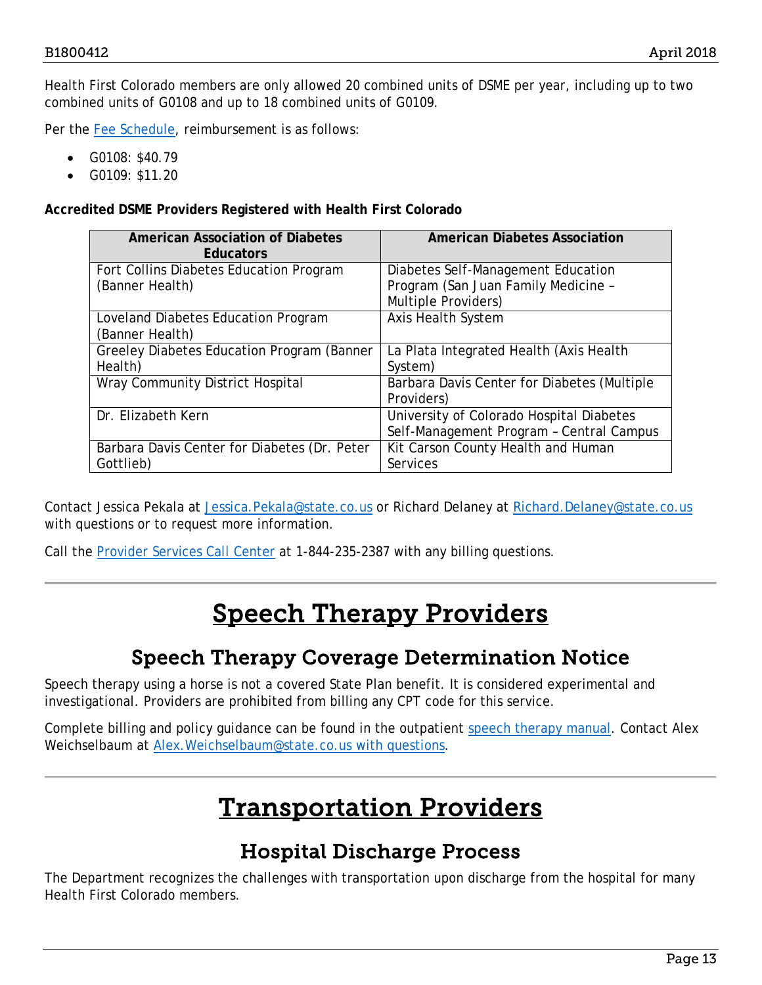Health First Colorado members are only allowed 20 combined units of DSME per year, including up to two combined units of G0108 and up to 18 combined units of G0109.

Per the [Fee Schedule,](https://www.colorado.gov/hcpf/provider-rates-fee-schedule) reimbursement is as follows:

- G0108: \$40.79
- G0109: \$11.20

**Accredited DSME Providers Registered with Health First Colorado**

| <b>American Association of Diabetes</b><br><b>Educators</b> | <b>American Diabetes Association</b>        |
|-------------------------------------------------------------|---------------------------------------------|
| Fort Collins Diabetes Education Program                     | Diabetes Self-Management Education          |
| (Banner Health)                                             | Program (San Juan Family Medicine -         |
|                                                             | Multiple Providers)                         |
| Loveland Diabetes Education Program                         | <b>Axis Health System</b>                   |
| (Banner Health)                                             |                                             |
| Greeley Diabetes Education Program (Banner                  | La Plata Integrated Health (Axis Health     |
| Health)                                                     | System)                                     |
| Wray Community District Hospital                            | Barbara Davis Center for Diabetes (Multiple |
|                                                             | Providers)                                  |
| Dr. Elizabeth Kern                                          | University of Colorado Hospital Diabetes    |
|                                                             | Self-Management Program - Central Campus    |
| Barbara Davis Center for Diabetes (Dr. Peter                | Kit Carson County Health and Human          |
| Gottlieb)                                                   | Services                                    |

Contact Jessica Pekala at [Jessica.Pekala@state.co.us](mailto:Jessica.Pekala@state.co.us) or Richard Delaney at [Richard.Delaney@state.co.us](mailto:Richard.Delaney@state.co.us) with questions or to request more information.

<span id="page-12-2"></span>Call the [Provider Services Call Center](https://www.colorado.gov/pacific/sites/default/files/Provider%20Call%20Center%20Cheat%20Sheet.pdf) at 1-844-235-2387 with any billing questions.

# Speech Therapy Providers

### Speech Therapy Coverage Determination Notice

<span id="page-12-0"></span>Speech therapy using a horse is not a covered State Plan benefit. It is considered experimental and investigational. Providers are prohibited from billing any CPT code for this service.

<span id="page-12-3"></span>Complete billing and policy guidance can be found in the outpatient [speech therapy](https://www.colorado.gov/pacific/sites/default/files/CMS1500_Speech%20v1_4.pdf) manual. Contact Alex Weichselbaum at [Alex.Weichselbaum@state.co.us](mailto:Alex.Weichselbaum@state.co.us) with questions.

# Transportation Providers

### Hospital Discharge Process

<span id="page-12-1"></span>The Department recognizes the challenges with transportation upon discharge from the hospital for many Health First Colorado members.